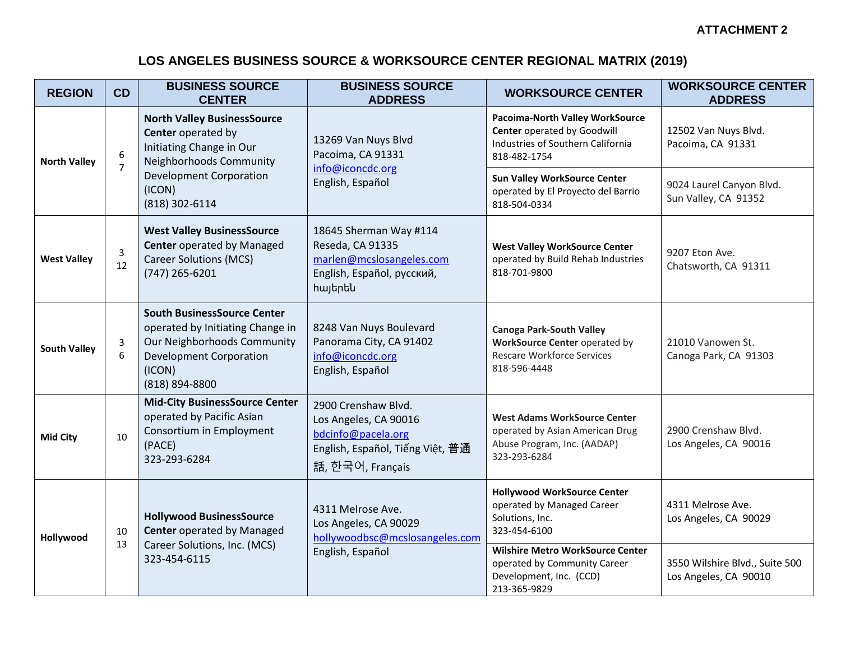## **LOS ANGELES BUSINESS SOURCE & WORKSOURCE CENTER REGIONAL MATRIX (2019)**

| <b>REGION</b>       | CD                  | <b>BUSINESS SOURCE</b><br><b>CENTER</b>                                                                                                                                       | <b>BUSINESS SOURCE</b><br><b>ADDRESS</b>                                                                                   | <b>WORKSOURCE CENTER</b>                                                                                                     | <b>WORKSOURCE CENTER</b><br><b>ADDRESS</b>              |
|---------------------|---------------------|-------------------------------------------------------------------------------------------------------------------------------------------------------------------------------|----------------------------------------------------------------------------------------------------------------------------|------------------------------------------------------------------------------------------------------------------------------|---------------------------------------------------------|
| <b>North Valley</b> | 6<br>$\overline{7}$ | <b>North Valley BusinessSource</b><br>Center operated by<br>Initiating Change in Our<br>Neighborhoods Community<br><b>Development Corporation</b><br>(ICON)<br>(818) 302-6114 | 13269 Van Nuys Blvd<br>Pacoima, CA 91331<br>info@iconcdc.org<br>English, Español                                           | Pacoima-North Valley WorkSource<br><b>Center operated by Goodwill</b><br>Industries of Southern California<br>818-482-1754   | 12502 Van Nuys Blvd.<br>Pacoima, CA 91331               |
|                     |                     |                                                                                                                                                                               |                                                                                                                            | <b>Sun Valley WorkSource Center</b><br>operated by El Proyecto del Barrio<br>818-504-0334                                    | 9024 Laurel Canyon Blvd.<br>Sun Valley, CA 91352        |
| <b>West Valley</b>  | $\mathsf 3$<br>12   | <b>West Valley BusinessSource</b><br><b>Center operated by Managed</b><br><b>Career Solutions (MCS)</b><br>(747) 265-6201                                                     | 18645 Sherman Way #114<br>Reseda, CA 91335<br>marlen@mcslosangeles.com<br>English, Español, русский,<br><b>h</b> այերեն    | <b>West Valley WorkSource Center</b><br>operated by Build Rehab Industries<br>818-701-9800                                   | 9207 Eton Ave.<br>Chatsworth, CA 91311                  |
| <b>South Valley</b> | 3<br>6              | <b>South BusinessSource Center</b><br>operated by Initiating Change in<br>Our Neighborhoods Community<br><b>Development Corporation</b><br>(ICON)<br>(818) 894-8800           | 8248 Van Nuys Boulevard<br>Panorama City, CA 91402<br>info@iconcdc.org<br>English, Español                                 | <b>Canoga Park-South Valley</b><br><b>WorkSource Center operated by</b><br><b>Rescare Workforce Services</b><br>818-596-4448 | 21010 Vanowen St.<br>Canoga Park, CA 91303              |
| <b>Mid City</b>     | 10                  | <b>Mid-City BusinessSource Center</b><br>operated by Pacific Asian<br>Consortium in Employment<br>(PACE)<br>323-293-6284                                                      | 2900 Crenshaw Blvd.<br>Los Angeles, CA 90016<br>bdcinfo@pacela.org<br>English, Español, Tiếng Việt, 普通<br>話, 한국어, Français | <b>West Adams WorkSource Center</b><br>operated by Asian American Drug<br>Abuse Program, Inc. (AADAP)<br>323-293-6284        | 2900 Crenshaw Blvd.<br>Los Angeles, CA 90016            |
| Hollywood           | 10<br>13            | <b>Hollywood BusinessSource</b><br><b>Center operated by Managed</b><br>Career Solutions, Inc. (MCS)<br>323-454-6115                                                          | 4311 Melrose Ave.<br>Los Angeles, CA 90029<br>hollywoodbsc@mcslosangeles.com<br>English, Español                           | <b>Hollywood WorkSource Center</b><br>operated by Managed Career<br>Solutions, Inc.<br>323-454-6100                          | 4311 Melrose Ave.<br>Los Angeles, CA 90029              |
|                     |                     |                                                                                                                                                                               |                                                                                                                            | <b>Wilshire Metro WorkSource Center</b><br>operated by Community Career<br>Development, Inc. (CCD)<br>213-365-9829           | 3550 Wilshire Blvd., Suite 500<br>Los Angeles, CA 90010 |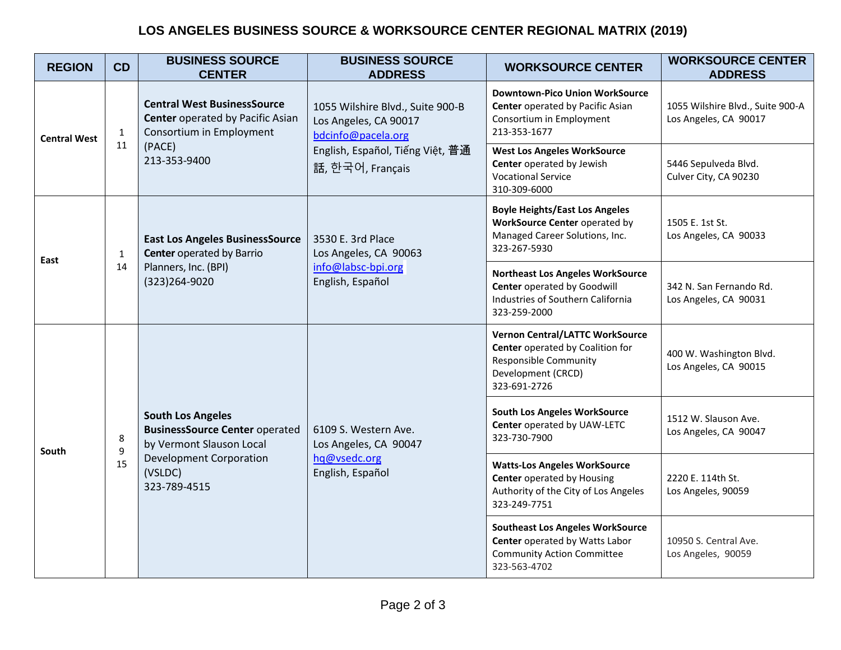## **LOS ANGELES BUSINESS SOURCE & WORKSOURCE CENTER REGIONAL MATRIX (2019)**

| <b>REGION</b>       | CD                 | <b>BUSINESS SOURCE</b><br><b>CENTER</b>                                                                                                                    | <b>BUSINESS SOURCE</b><br><b>ADDRESS</b>                                                                                                | <b>WORKSOURCE CENTER</b>                                                                                                                         | <b>WORKSOURCE CENTER</b><br><b>ADDRESS</b>                |
|---------------------|--------------------|------------------------------------------------------------------------------------------------------------------------------------------------------------|-----------------------------------------------------------------------------------------------------------------------------------------|--------------------------------------------------------------------------------------------------------------------------------------------------|-----------------------------------------------------------|
| <b>Central West</b> | $\mathbf{1}$<br>11 | <b>Central West BusinessSource</b><br><b>Center operated by Pacific Asian</b><br>Consortium in Employment<br>(PACE)<br>213-353-9400                        | 1055 Wilshire Blvd., Suite 900-B<br>Los Angeles, CA 90017<br>bdcinfo@pacela.org<br>English, Español, Tiếng Việt, 普通<br>話, 한국어, Français | <b>Downtown-Pico Union WorkSource</b><br>Center operated by Pacific Asian<br>Consortium in Employment<br>213-353-1677                            | 1055 Wilshire Blvd., Suite 900-A<br>Los Angeles, CA 90017 |
|                     |                    |                                                                                                                                                            |                                                                                                                                         | <b>West Los Angeles WorkSource</b><br>Center operated by Jewish<br><b>Vocational Service</b><br>310-309-6000                                     | 5446 Sepulveda Blvd.<br>Culver City, CA 90230             |
| East                | $\mathbf{1}$<br>14 | <b>East Los Angeles BusinessSource</b><br><b>Center operated by Barrio</b><br>Planners, Inc. (BPI)<br>(323)264-9020                                        | 3530 E. 3rd Place<br>Los Angeles, CA 90063<br>info@labsc-bpi.org<br>English, Español                                                    | <b>Boyle Heights/East Los Angeles</b><br><b>WorkSource Center operated by</b><br>Managed Career Solutions, Inc.<br>323-267-5930                  | 1505 E. 1st St.<br>Los Angeles, CA 90033                  |
|                     |                    |                                                                                                                                                            |                                                                                                                                         | <b>Northeast Los Angeles WorkSource</b><br>Center operated by Goodwill<br>Industries of Southern California<br>323-259-2000                      | 342 N. San Fernando Rd.<br>Los Angeles, CA 90031          |
| South               | 8<br>9<br>15       | <b>South Los Angeles</b><br><b>BusinessSource Center operated</b><br>by Vermont Slauson Local<br><b>Development Corporation</b><br>(VSLDC)<br>323-789-4515 | 6109 S. Western Ave.<br>Los Angeles, CA 90047<br>hq@vsedc.org<br>English, Español                                                       | <b>Vernon Central/LATTC WorkSource</b><br>Center operated by Coalition for<br><b>Responsible Community</b><br>Development (CRCD)<br>323-691-2726 | 400 W. Washington Blvd.<br>Los Angeles, CA 90015          |
|                     |                    |                                                                                                                                                            |                                                                                                                                         | <b>South Los Angeles WorkSource</b><br>Center operated by UAW-LETC<br>323-730-7900                                                               | 1512 W. Slauson Ave.<br>Los Angeles, CA 90047             |
|                     |                    |                                                                                                                                                            |                                                                                                                                         | <b>Watts-Los Angeles WorkSource</b><br><b>Center</b> operated by Housing<br>Authority of the City of Los Angeles<br>323-249-7751                 | 2220 E. 114th St.<br>Los Angeles, 90059                   |
|                     |                    |                                                                                                                                                            |                                                                                                                                         | <b>Southeast Los Angeles WorkSource</b><br>Center operated by Watts Labor<br><b>Community Action Committee</b><br>323-563-4702                   | 10950 S. Central Ave.<br>Los Angeles, 90059               |